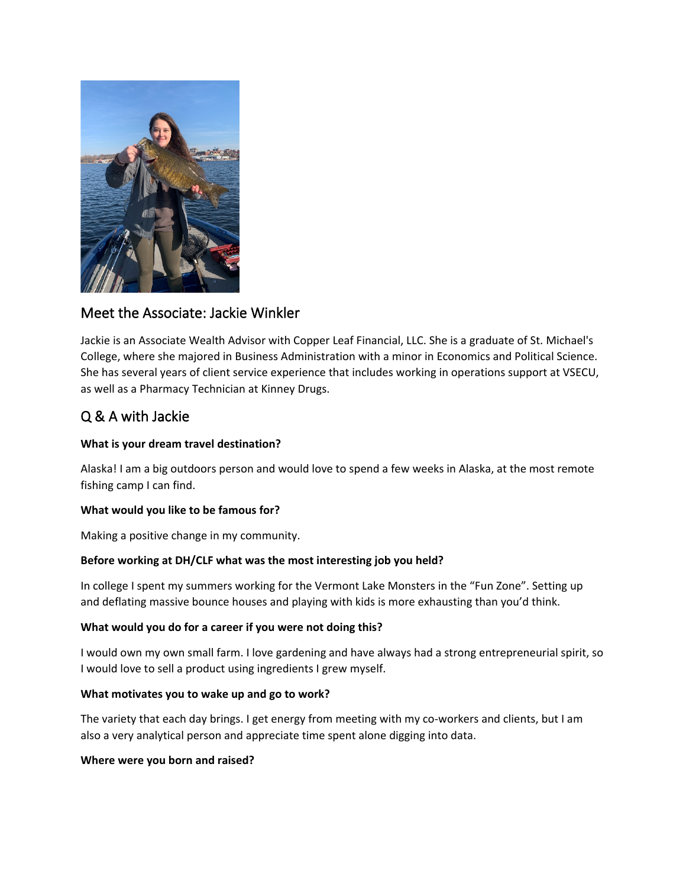

## Meet the Associate: Jackie Winkler

Jackie is an Associate Wealth Advisor with Copper Leaf Financial, LLC. She is a graduate of St. Michael's College, where she majored in Business Administration with a minor in Economics and Political Science. She has several years of client service experience that includes working in operations support at VSECU, as well as a Pharmacy Technician at Kinney Drugs.

# Q & A with Jackie

### **What is your dream travel destination?**

Alaska! I am a big outdoors person and would love to spend a few weeks in Alaska, at the most remote fishing camp I can find.

#### **What would you like to be famous for?**

Making a positive change in my community.

## **Before working at DH/CLF what was the most interesting job you held?**

In college I spent my summers working for the Vermont Lake Monsters in the "Fun Zone". Setting up and deflating massive bounce houses and playing with kids is more exhausting than you'd think.

#### **What would you do for a career if you were not doing this?**

I would own my own small farm. I love gardening and have always had a strong entrepreneurial spirit, so I would love to sell a product using ingredients I grew myself.

#### **What motivates you to wake up and go to work?**

The variety that each day brings. I get energy from meeting with my co-workers and clients, but I am also a very analytical person and appreciate time spent alone digging into data.

#### **Where were you born and raised?**